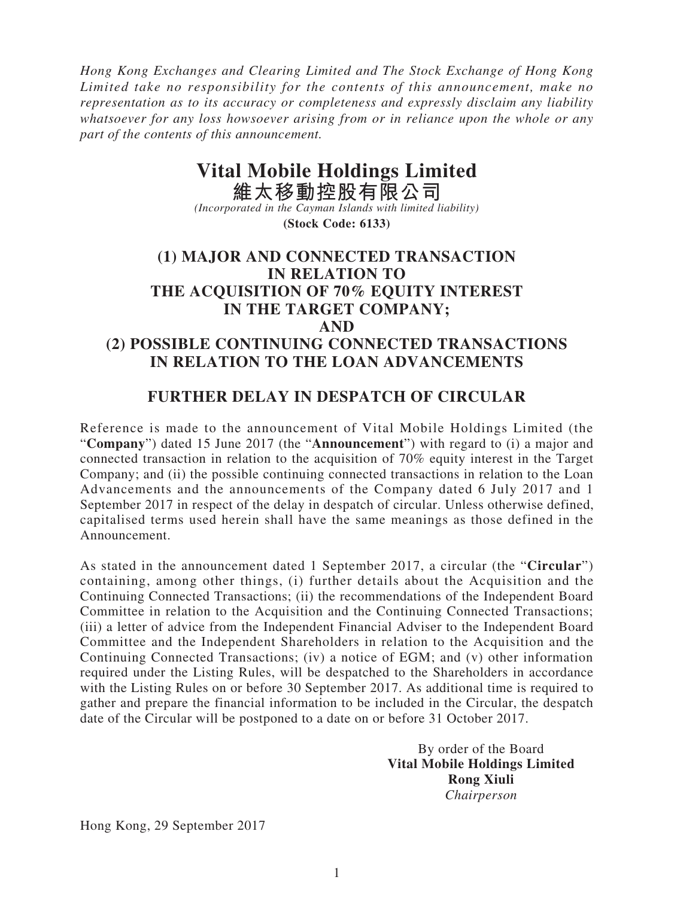*Hong Kong Exchanges and Clearing Limited and The Stock Exchange of Hong Kong Limited take no responsibility for the contents of this announcement, make no representation as to its accuracy or completeness and expressly disclaim any liability whatsoever for any loss howsoever arising from or in reliance upon the whole or any part of the contents of this announcement.*

## **Vital Mobile Holdings Limited**

**維太移動控股有限公司** *(Incorporated in the Cayman Islands with limited liability)* **(Stock Code: 6133)**

## **(1) MAJOR AND CONNECTED TRANSACTION IN RELATION TO THE ACQUISITION OF 70% EQUITY INTEREST IN THE TARGET COMPANY; AND (2) POSSIBLE CONTINUING CONNECTED TRANSACTIONS IN RELATION TO THE LOAN ADVANCEMENTS**

## **FURTHER DELAY IN DESPATCH OF CIRCULAR**

Reference is made to the announcement of Vital Mobile Holdings Limited (the "**Company**") dated 15 June 2017 (the "**Announcement**") with regard to (i) a major and connected transaction in relation to the acquisition of 70% equity interest in the Target Company; and (ii) the possible continuing connected transactions in relation to the Loan Advancements and the announcements of the Company dated 6 July 2017 and 1 September 2017 in respect of the delay in despatch of circular. Unless otherwise defined, capitalised terms used herein shall have the same meanings as those defined in the Announcement.

As stated in the announcement dated 1 September 2017, a circular (the "**Circular**") containing, among other things, (i) further details about the Acquisition and the Continuing Connected Transactions; (ii) the recommendations of the Independent Board Committee in relation to the Acquisition and the Continuing Connected Transactions; (iii) a letter of advice from the Independent Financial Adviser to the Independent Board Committee and the Independent Shareholders in relation to the Acquisition and the Continuing Connected Transactions; (iv) a notice of EGM; and (v) other information required under the Listing Rules, will be despatched to the Shareholders in accordance with the Listing Rules on or before 30 September 2017. As additional time is required to gather and prepare the financial information to be included in the Circular, the despatch date of the Circular will be postponed to a date on or before 31 October 2017.

> By order of the Board **Vital Mobile Holdings Limited Rong Xiuli** *Chairperson*

Hong Kong, 29 September 2017